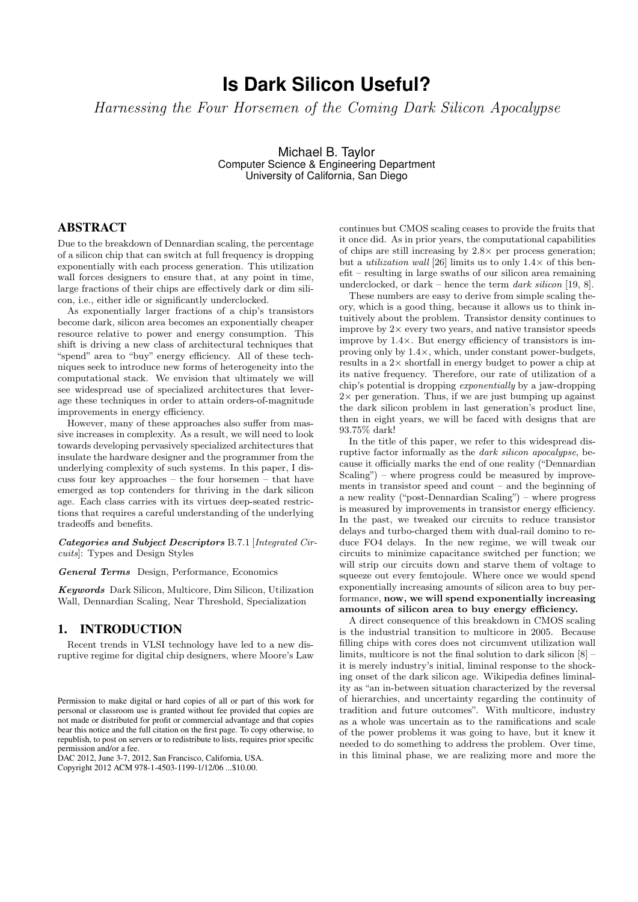# **Is Dark Silicon Useful?**

Harnessing the Four Horsemen of the Coming Dark Silicon Apocalypse

Michael B. Taylor Computer Science & Engineering Department University of California, San Diego

#### ABSTRACT

Due to the breakdown of Dennardian scaling, the percentage of a silicon chip that can switch at full frequency is dropping exponentially with each process generation. This utilization wall forces designers to ensure that, at any point in time, large fractions of their chips are effectively dark or dim silicon, i.e., either idle or significantly underclocked.

As exponentially larger fractions of a chip's transistors become dark, silicon area becomes an exponentially cheaper resource relative to power and energy consumption. This shift is driving a new class of architectural techniques that "spend" area to "buy" energy efficiency. All of these techniques seek to introduce new forms of heterogeneity into the computational stack. We envision that ultimately we will see widespread use of specialized architectures that leverage these techniques in order to attain orders-of-magnitude improvements in energy efficiency.

However, many of these approaches also suffer from massive increases in complexity. As a result, we will need to look towards developing pervasively specialized architectures that insulate the hardware designer and the programmer from the underlying complexity of such systems. In this paper, I discuss four key approaches – the four horsemen – that have emerged as top contenders for thriving in the dark silicon age. Each class carries with its virtues deep-seated restrictions that requires a careful understanding of the underlying tradeoffs and benefits.

Categories and Subject Descriptors B.7.1 [Integrated Circuits]: Types and Design Styles

General Terms Design, Performance, Economics

Keywords Dark Silicon, Multicore, Dim Silicon, Utilization Wall, Dennardian Scaling, Near Threshold, Specialization

#### 1. INTRODUCTION

Recent trends in VLSI technology have led to a new disruptive regime for digital chip designers, where Moore's Law

DAC 2012, June 3-7, 2012, San Francisco, California, USA. Copyright 2012 ACM 978-1-4503-1199-1/12/06 ...\$10.00.

continues but CMOS scaling ceases to provide the fruits that it once did. As in prior years, the computational capabilities of chips are still increasing by  $2.8\times$  per process generation; but a *utilization wall* [26] limits us to only  $1.4 \times$  of this benefit – resulting in large swaths of our silicon area remaining underclocked, or dark – hence the term dark silicon [19, 8].

These numbers are easy to derive from simple scaling theory, which is a good thing, because it allows us to think intuitively about the problem. Transistor density continues to improve by  $2\times$  every two years, and native transistor speeds improve by 1.4×. But energy efficiency of transistors is improving only by 1.4×, which, under constant power-budgets, results in a 2× shortfall in energy budget to power a chip at its native frequency. Therefore, our rate of utilization of a chip's potential is dropping exponentially by a jaw-dropping  $2\times$  per generation. Thus, if we are just bumping up against the dark silicon problem in last generation's product line, then in eight years, we will be faced with designs that are 93.75% dark!

In the title of this paper, we refer to this widespread disruptive factor informally as the dark silicon apocalypse, because it officially marks the end of one reality ("Dennardian Scaling") – where progress could be measured by improvements in transistor speed and count – and the beginning of a new reality ("post-Dennardian Scaling") – where progress is measured by improvements in transistor energy efficiency. In the past, we tweaked our circuits to reduce transistor delays and turbo-charged them with dual-rail domino to reduce FO4 delays. In the new regime, we will tweak our circuits to minimize capacitance switched per function; we will strip our circuits down and starve them of voltage to squeeze out every femtojoule. Where once we would spend exponentially increasing amounts of silicon area to buy performance, now, we will spend exponentially increasing amounts of silicon area to buy energy efficiency.

A direct consequence of this breakdown in CMOS scaling is the industrial transition to multicore in 2005. Because filling chips with cores does not circumvent utilization wall limits, multicore is not the final solution to dark silicon [8] – it is merely industry's initial, liminal response to the shocking onset of the dark silicon age. Wikipedia defines liminality as "an in-between situation characterized by the reversal of hierarchies, and uncertainty regarding the continuity of tradition and future outcomes". With multicore, industry as a whole was uncertain as to the ramifications and scale of the power problems it was going to have, but it knew it needed to do something to address the problem. Over time, in this liminal phase, we are realizing more and more the

Permission to make digital or hard copies of all or part of this work for personal or classroom use is granted without fee provided that copies are not made or distributed for profit or commercial advantage and that copies bear this notice and the full citation on the first page. To copy otherwise, to republish, to post on servers or to redistribute to lists, requires prior specific permission and/or a fee.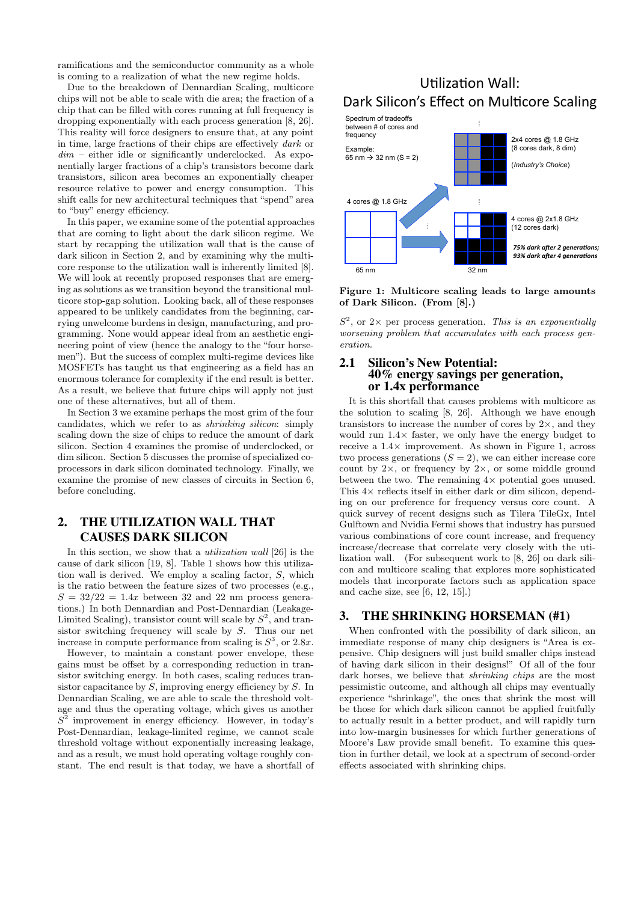ramifications and the semiconductor community as a whole is coming to a realization of what the new regime holds.

Due to the breakdown of Dennardian Scaling, multicore chips will not be able to scale with die area; the fraction of a chip that can be filled with cores running at full frequency is dropping exponentially with each process generation [8, 26]. This reality will force designers to ensure that, at any point in time, large fractions of their chips are effectively dark or  $dim$  – either idle or significantly underclocked. As exponentially larger fractions of a chip's transistors become dark transistors, silicon area becomes an exponentially cheaper resource relative to power and energy consumption. This shift calls for new architectural techniques that "spend" area to "buy" energy efficiency.

In this paper, we examine some of the potential approaches that are coming to light about the dark silicon regime. We start by recapping the utilization wall that is the cause of dark silicon in Section 2, and by examining why the multicore response to the utilization wall is inherently limited [8]. We will look at recently proposed responses that are emerging as solutions as we transition beyond the transitional multicore stop-gap solution. Looking back, all of these responses appeared to be unlikely candidates from the beginning, carrying unwelcome burdens in design, manufacturing, and programming. None would appear ideal from an aesthetic engineering point of view (hence the analogy to the "four horsemen"). But the success of complex multi-regime devices like MOSFETs has taught us that engineering as a field has an enormous tolerance for complexity if the end result is better. As a result, we believe that future chips will apply not just one of these alternatives, but all of them.

In Section 3 we examine perhaps the most grim of the four candidates, which we refer to as shrinking silicon: simply scaling down the size of chips to reduce the amount of dark silicon. Section 4 examines the promise of underclocked, or dim silicon. Section 5 discusses the promise of specialized coprocessors in dark silicon dominated technology. Finally, we examine the promise of new classes of circuits in Section 6, before concluding.

## 2. THE UTILIZATION WALL THAT CAUSES DARK SILICON

In this section, we show that a *utilization wall* [26] is the cause of dark silicon [19, 8]. Table 1 shows how this utilization wall is derived. We employ a scaling factor, S, which is the ratio between the feature sizes of two processes (e.g.,  $S = 32/22 = 1.4x$  between 32 and 22 nm process generations.) In both Dennardian and Post-Dennardian (Leakage-Limited Scaling), transistor count will scale by  $S^2$ , and transistor switching frequency will scale by S. Thus our net increase in compute performance from scaling is  $S^3$ , or 2.8x.

However, to maintain a constant power envelope, these gains must be offset by a corresponding reduction in transistor switching energy. In both cases, scaling reduces transistor capacitance by  $S$ , improving energy efficiency by  $S$ . In Dennardian Scaling, we are able to scale the threshold voltage and thus the operating voltage, which gives us another  $S<sup>2</sup>$  improvement in energy efficiency. However, in today's Post-Dennardian, leakage-limited regime, we cannot scale threshold voltage without exponentially increasing leakage, and as a result, we must hold operating voltage roughly constant. The end result is that today, we have a shortfall of

# Utilization Wall: Dark Silicon's Effect on Multicore Scaling



Figure 1: Multicore scaling leads to large amounts of Dark Silicon. (From [8].)

 $S^2$ , or  $2 \times$  per process generation. This is an exponentially worsening problem that accumulates with each process generation.

#### 2.1 Silicon's New Potential: 40% energy savings per generation, or 1.4x performance

It is this shortfall that causes problems with multicore as the solution to scaling [8, 26]. Although we have enough transistors to increase the number of cores by 2×, and they would run  $1.4\times$  faster, we only have the energy budget to receive a  $1.4\times$  improvement. As shown in Figure 1, across two process generations  $(S = 2)$ , we can either increase core count by  $2\times$ , or frequency by  $2\times$ , or some middle ground between the two. The remaining  $4\times$  potential goes unused. This  $4\times$  reflects itself in either dark or dim silicon, depending on our preference for frequency versus core count. A quick survey of recent designs such as Tilera TileGx, Intel Gulftown and Nvidia Fermi shows that industry has pursued various combinations of core count increase, and frequency increase/decrease that correlate very closely with the utilization wall. (For subsequent work to [8, 26] on dark silicon and multicore scaling that explores more sophisticated models that incorporate factors such as application space and cache size, see [6, 12, 15].)

#### THE SHRINKING HORSEMAN (#1)

When confronted with the possibility of dark silicon, an immediate response of many chip designers is "Area is expensive. Chip designers will just build smaller chips instead of having dark silicon in their designs!" Of all of the four dark horses, we believe that *shrinking chips* are the most pessimistic outcome, and although all chips may eventually experience "shrinkage", the ones that shrink the most will be those for which dark silicon cannot be applied fruitfully to actually result in a better product, and will rapidly turn into low-margin businesses for which further generations of Moore's Law provide small benefit. To examine this question in further detail, we look at a spectrum of second-order effects associated with shrinking chips.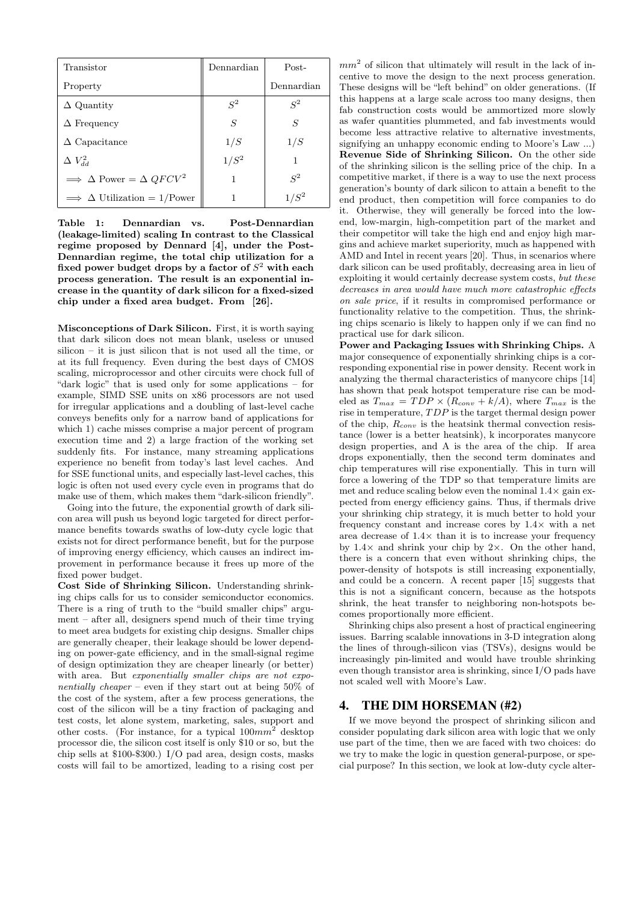| Transistor                                           | Dennardian | Post-      |
|------------------------------------------------------|------------|------------|
| Property                                             |            | Dennardian |
| $\Delta$ Quantity                                    | $S^2$      | $S^2$      |
| $\Delta$ Frequency                                   | S          | S          |
| $\Delta$ Capacitance                                 | 1/S        | 1/S        |
| $\Delta V_{dd}^2$                                    | $1/S^2$    | 1          |
| $\implies \Delta$ Power = $\Delta$ QFCV <sup>2</sup> |            | $S^2$      |
| $\implies \Delta$ Utilization = 1/Power              |            | $1/S^2$    |

Table 1: Dennardian vs. Post-Dennardian (leakage-limited) scaling In contrast to the Classical regime proposed by Dennard [4], under the Post-Dennardian regime, the total chip utilization for a fixed power budget drops by a factor of  $S^2$  with each process generation. The result is an exponential increase in the quantity of dark silicon for a fixed-sized chip under a fixed area budget. From [26].

Misconceptions of Dark Silicon. First, it is worth saying that dark silicon does not mean blank, useless or unused silicon – it is just silicon that is not used all the time, or at its full frequency. Even during the best days of CMOS scaling, microprocessor and other circuits were chock full of "dark logic" that is used only for some applications – for example, SIMD SSE units on x86 processors are not used for irregular applications and a doubling of last-level cache conveys benefits only for a narrow band of applications for which 1) cache misses comprise a major percent of program execution time and 2) a large fraction of the working set suddenly fits. For instance, many streaming applications experience no benefit from today's last level caches. And for SSE functional units, and especially last-level caches, this logic is often not used every cycle even in programs that do make use of them, which makes them "dark-silicon friendly".

Going into the future, the exponential growth of dark silicon area will push us beyond logic targeted for direct performance benefits towards swaths of low-duty cycle logic that exists not for direct performance benefit, but for the purpose of improving energy efficiency, which causes an indirect improvement in performance because it frees up more of the fixed power budget.

Cost Side of Shrinking Silicon. Understanding shrinking chips calls for us to consider semiconductor economics. There is a ring of truth to the "build smaller chips" argument – after all, designers spend much of their time trying to meet area budgets for existing chip designs. Smaller chips are generally cheaper, their leakage should be lower depending on power-gate efficiency, and in the small-signal regime of design optimization they are cheaper linearly (or better) with area. But exponentially smaller chips are not exponentially cheaper – even if they start out at being 50% of the cost of the system, after a few process generations, the cost of the silicon will be a tiny fraction of packaging and test costs, let alone system, marketing, sales, support and other costs. (For instance, for a typical  $100mm^2$  desktop processor die, the silicon cost itself is only \$10 or so, but the chip sells at \$100-\$300.) I/O pad area, design costs, masks costs will fail to be amortized, leading to a rising cost per

 $mm<sup>2</sup>$  of silicon that ultimately will result in the lack of incentive to move the design to the next process generation. These designs will be "left behind" on older generations. (If this happens at a large scale across too many designs, then fab construction costs would be ammortized more slowly as wafer quantities plummeted, and fab investments would become less attractive relative to alternative investments, signifying an unhappy economic ending to Moore's Law ...) Revenue Side of Shrinking Silicon. On the other side of the shrinking silicon is the selling price of the chip. In a competitive market, if there is a way to use the next process generation's bounty of dark silicon to attain a benefit to the end product, then competition will force companies to do it. Otherwise, they will generally be forced into the lowend, low-margin, high-competition part of the market and their competitor will take the high end and enjoy high margins and achieve market superiority, much as happened with AMD and Intel in recent years [20]. Thus, in scenarios where dark silicon can be used profitably, decreasing area in lieu of exploiting it would certainly decrease system costs, but these decreases in area would have much more catastrophic effects on sale price, if it results in compromised performance or functionality relative to the competition. Thus, the shrinking chips scenario is likely to happen only if we can find no practical use for dark silicon.

Power and Packaging Issues with Shrinking Chips. A major consequence of exponentially shrinking chips is a corresponding exponential rise in power density. Recent work in analyzing the thermal characteristics of manycore chips [14] has shown that peak hotspot temperature rise can be modeled as  $T_{max} = TDP \times (R_{conv} + k/A)$ , where  $T_{max}$  is the rise in temperature,  $TDP$  is the target thermal design power of the chip,  $R_{conv}$  is the heatsink thermal convection resistance (lower is a better heatsink), k incorporates manycore design properties, and A is the area of the chip. If area drops exponentially, then the second term dominates and chip temperatures will rise exponentially. This in turn will force a lowering of the TDP so that temperature limits are met and reduce scaling below even the nominal  $1.4\times$  gain expected from energy efficiency gains. Thus, if thermals drive your shrinking chip strategy, it is much better to hold your frequency constant and increase cores by  $1.4\times$  with a net area decrease of  $1.4\times$  than it is to increase your frequency by  $1.4\times$  and shrink your chip by  $2\times$ . On the other hand, there is a concern that even without shrinking chips, the power-density of hotspots is still increasing exponentially, and could be a concern. A recent paper [15] suggests that this is not a significant concern, because as the hotspots shrink, the heat transfer to neighboring non-hotspots becomes proportionally more efficient.

Shrinking chips also present a host of practical engineering issues. Barring scalable innovations in 3-D integration along the lines of through-silicon vias (TSVs), designs would be increasingly pin-limited and would have trouble shrinking even though transistor area is shrinking, since I/O pads have not scaled well with Moore's Law.

#### 4. THE DIM HORSEMAN (#2)

If we move beyond the prospect of shrinking silicon and consider populating dark silicon area with logic that we only use part of the time, then we are faced with two choices: do we try to make the logic in question general-purpose, or special purpose? In this section, we look at low-duty cycle alter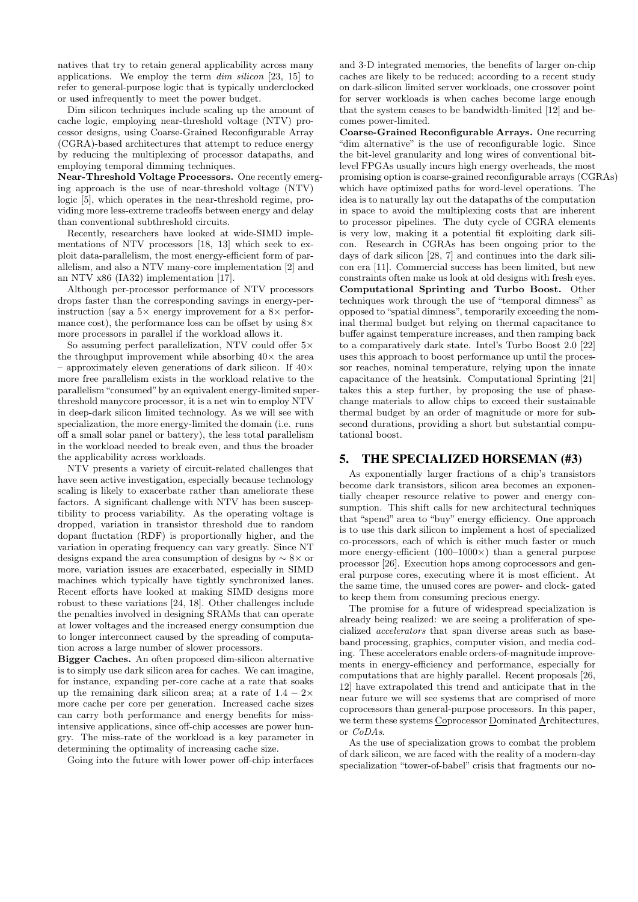natives that try to retain general applicability across many applications. We employ the term dim silicon [23, 15] to refer to general-purpose logic that is typically underclocked or used infrequently to meet the power budget.

Dim silicon techniques include scaling up the amount of cache logic, employing near-threshold voltage (NTV) processor designs, using Coarse-Grained Reconfigurable Array (CGRA)-based architectures that attempt to reduce energy by reducing the multiplexing of processor datapaths, and employing temporal dimming techniques.

Near-Threshold Voltage Processors. One recently emerging approach is the use of near-threshold voltage (NTV) logic [5], which operates in the near-threshold regime, providing more less-extreme tradeoffs between energy and delay than conventional subthreshold circuits.

Recently, researchers have looked at wide-SIMD implementations of NTV processors [18, 13] which seek to exploit data-parallelism, the most energy-efficient form of parallelism, and also a NTV many-core implementation [2] and an NTV x86 (IA32) implementation [17].

Although per-processor performance of NTV processors drops faster than the corresponding savings in energy-perinstruction (say a  $5\times$  energy improvement for a  $8\times$  performance cost), the performance loss can be offset by using  $8\times$ more processors in parallel if the workload allows it.

So assuming perfect parallelization, NTV could offer 5× the throughput improvement while absorbing  $40\times$  the area – approximately eleven generations of dark silicon. If  $40\times$ more free parallelism exists in the workload relative to the parallelism"consumed"by an equivalent energy-limited superthreshold manycore processor, it is a net win to employ NTV in deep-dark silicon limited technology. As we will see with specialization, the more energy-limited the domain (i.e. runs off a small solar panel or battery), the less total parallelism in the workload needed to break even, and thus the broader the applicability across workloads.

NTV presents a variety of circuit-related challenges that have seen active investigation, especially because technology scaling is likely to exacerbate rather than ameliorate these factors. A significant challenge with NTV has been susceptibility to process variability. As the operating voltage is dropped, variation in transistor threshold due to random dopant fluctation (RDF) is proportionally higher, and the variation in operating frequency can vary greatly. Since NT designs expand the area consumption of designs by ∼ 8× or more, variation issues are exacerbated, especially in SIMD machines which typically have tightly synchronized lanes. Recent efforts have looked at making SIMD designs more robust to these variations [24, 18]. Other challenges include the penalties involved in designing SRAMs that can operate at lower voltages and the increased energy consumption due to longer interconnect caused by the spreading of computation across a large number of slower processors.

Bigger Caches. An often proposed dim-silicon alternative is to simply use dark silicon area for caches. We can imagine, for instance, expanding per-core cache at a rate that soaks up the remaining dark silicon area; at a rate of  $1.4 - 2 \times$ more cache per core per generation. Increased cache sizes can carry both performance and energy benefits for missintensive applications, since off-chip accesses are power hungry. The miss-rate of the workload is a key parameter in determining the optimality of increasing cache size.

Going into the future with lower power off-chip interfaces

and 3-D integrated memories, the benefits of larger on-chip caches are likely to be reduced; according to a recent study on dark-silicon limited server workloads, one crossover point for server workloads is when caches become large enough that the system ceases to be bandwidth-limited [12] and becomes power-limited.

Coarse-Grained Reconfigurable Arrays. One recurring "dim alternative" is the use of reconfigurable logic. Since the bit-level granularity and long wires of conventional bitlevel FPGAs usually incurs high energy overheads, the most promising option is coarse-grained reconfigurable arrays (CGRAs) which have optimized paths for word-level operations. The idea is to naturally lay out the datapaths of the computation in space to avoid the multiplexing costs that are inherent to processor pipelines. The duty cycle of CGRA elements is very low, making it a potential fit exploiting dark silicon. Research in CGRAs has been ongoing prior to the days of dark silicon [28, 7] and continues into the dark silicon era [11]. Commercial success has been limited, but new constraints often make us look at old designs with fresh eyes. Computational Sprinting and Turbo Boost. Other techniques work through the use of "temporal dimness" as opposed to"spatial dimness", temporarily exceeding the nominal thermal budget but relying on thermal capacitance to buffer against temperature increases, and then ramping back to a comparatively dark state. Intel's Turbo Boost 2.0 [22] uses this approach to boost performance up until the processor reaches, nominal temperature, relying upon the innate capacitance of the heatsink. Computational Sprinting [21] takes this a step further, by proposing the use of phasechange materials to allow chips to exceed their sustainable thermal budget by an order of magnitude or more for subsecond durations, providing a short but substantial computational boost.

#### 5. THE SPECIALIZED HORSEMAN (#3)

As exponentially larger fractions of a chip's transistors become dark transistors, silicon area becomes an exponentially cheaper resource relative to power and energy consumption. This shift calls for new architectural techniques that "spend" area to "buy" energy efficiency. One approach is to use this dark silicon to implement a host of specialized co-processors, each of which is either much faster or much more energy-efficient  $(100-1000\times)$  than a general purpose processor [26]. Execution hops among coprocessors and general purpose cores, executing where it is most efficient. At the same time, the unused cores are power- and clock- gated to keep them from consuming precious energy.

The promise for a future of widespread specialization is already being realized: we are seeing a proliferation of specialized accelerators that span diverse areas such as baseband processing, graphics, computer vision, and media coding. These accelerators enable orders-of-magnitude improvements in energy-efficiency and performance, especially for computations that are highly parallel. Recent proposals [26, 12] have extrapolated this trend and anticipate that in the near future we will see systems that are comprised of more coprocessors than general-purpose processors. In this paper, we term these systems Coprocessor Dominated Architectures, or CoDAs.

As the use of specialization grows to combat the problem of dark silicon, we are faced with the reality of a modern-day specialization "tower-of-babel" crisis that fragments our no-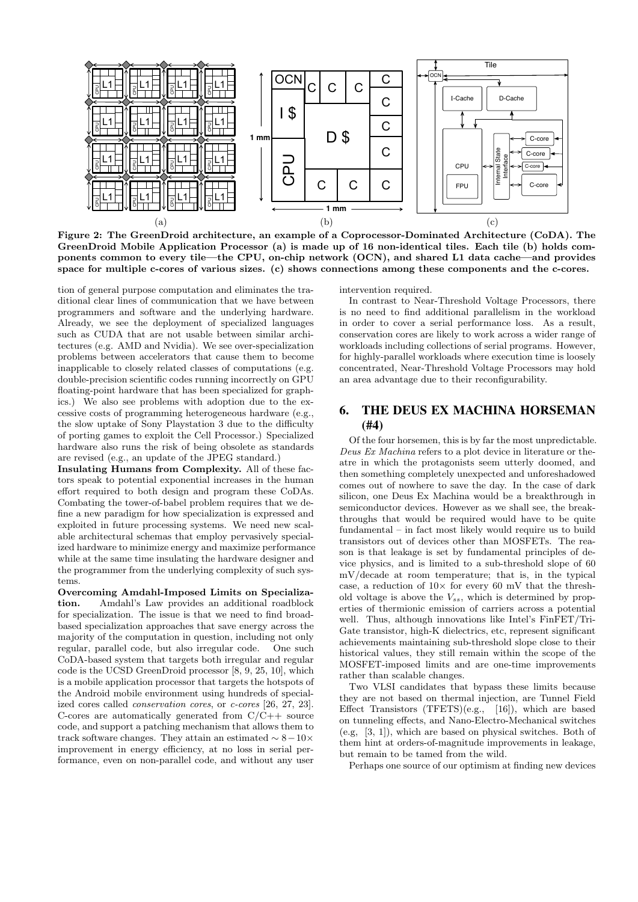

Figure 2: The GreenDroid architecture, an example of a Coprocessor-Dominated Architecture (CoDA). The GreenDroid Mobile Application Processor (a) is made up of 16 non-identical tiles. Each tile (b) holds components common to every tile—the CPU, on-chip network (OCN), and shared L1 data cache—and provides space for multiple c-cores of various sizes. (c) shows connections among these components and the c-cores.

tion of general purpose computation and eliminates the traditional clear lines of communication that we have between programmers and software and the underlying hardware. Already, we see the deployment of specialized languages such as CUDA that are not usable between similar architectures (e.g. AMD and Nvidia). We see over-specialization problems between accelerators that cause them to become inapplicable to closely related classes of computations (e.g. double-precision scientific codes running incorrectly on GPU floating-point hardware that has been specialized for graphics.) We also see problems with adoption due to the excessive costs of programming heterogeneous hardware (e.g., the slow uptake of Sony Playstation 3 due to the difficulty of porting games to exploit the Cell Processor.) Specialized hardware also runs the risk of being obsolete as standards are revised (e.g., an update of the JPEG standard.)

Insulating Humans from Complexity. All of these factors speak to potential exponential increases in the human effort required to both design and program these CoDAs. Combating the tower-of-babel problem requires that we define a new paradigm for how specialization is expressed and exploited in future processing systems. We need new scalable architectural schemas that employ pervasively specialized hardware to minimize energy and maximize performance while at the same time insulating the hardware designer and the programmer from the underlying complexity of such systems.

Overcoming Amdahl-Imposed Limits on Specializa-<br>tion. Amdahl's Law provides an additional roadblock Amdahl's Law provides an additional roadblock for specialization. The issue is that we need to find broadbased specialization approaches that save energy across the majority of the computation in question, including not only regular, parallel code, but also irregular code. One such CoDA-based system that targets both irregular and regular code is the UCSD GreenDroid processor [8, 9, 25, 10], which is a mobile application processor that targets the hotspots of the Android mobile environment using hundreds of specialized cores called conservation cores, or c-cores [26, 27, 23]. C-cores are automatically generated from  $C/C++$  source code, and support a patching mechanism that allows them to track software changes. They attain an estimated  $\sim 8-10\times$ improvement in energy efficiency, at no loss in serial performance, even on non-parallel code, and without any user intervention required.

In contrast to Near-Threshold Voltage Processors, there is no need to find additional parallelism in the workload in order to cover a serial performance loss. As a result, conservation cores are likely to work across a wider range of workloads including collections of serial programs. However, for highly-parallel workloads where execution time is loosely concentrated, Near-Threshold Voltage Processors may hold an area advantage due to their reconfigurability.

## 6. THE DEUS EX MACHINA HORSEMAN (#4)

Of the four horsemen, this is by far the most unpredictable. Deus Ex Machina refers to a plot device in literature or theatre in which the protagonists seem utterly doomed, and then something completely unexpected and unforeshadowed comes out of nowhere to save the day. In the case of dark silicon, one Deus Ex Machina would be a breakthrough in semiconductor devices. However as we shall see, the breakthroughs that would be required would have to be quite fundamental – in fact most likely would require us to build transistors out of devices other than MOSFETs. The reason is that leakage is set by fundamental principles of device physics, and is limited to a sub-threshold slope of 60 mV/decade at room temperature; that is, in the typical case, a reduction of  $10\times$  for every 60 mV that the threshold voltage is above the  $V_{ss}$ , which is determined by properties of thermionic emission of carriers across a potential well. Thus, although innovations like Intel's FinFET/Tri-Gate transistor, high-K dielectrics, etc, represent significant achievements maintaining sub-threshold slope close to their historical values, they still remain within the scope of the MOSFET-imposed limits and are one-time improvements rather than scalable changes.

Two VLSI candidates that bypass these limits because they are not based on thermal injection, are Tunnel Field Effect Transistors (TFETS)(e.g., [16]), which are based on tunneling effects, and Nano-Electro-Mechanical switches (e.g, [3, 1]), which are based on physical switches. Both of them hint at orders-of-magnitude improvements in leakage, but remain to be tamed from the wild.

Perhaps one source of our optimism at finding new devices